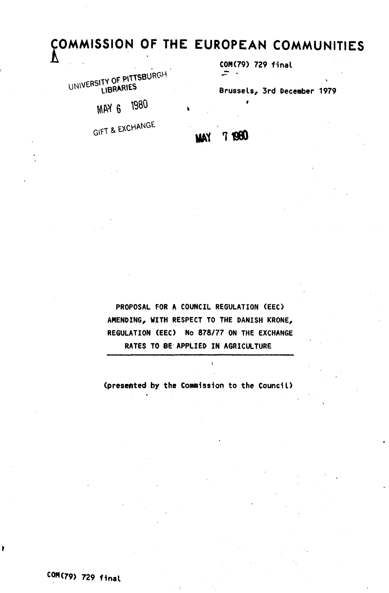# H.,, J ~AA·. N J\ ... l-/ .. ~ 1· .t COMMISSION OF THE EUROPEAN COMMUNITIES

 $\begin{array}{cc}\n\text{COM}(79) & \text{729 final} \\
\text{COM}(79) & \text{729 final}\n\end{array}$ F PITTSBURGH UNIVERSILIBRARIES

MAY 6 1980

GIFT & EXCHANGE

 $\sim$ 

 $^{\prime}$ 

Brussels, 3rd December 1979

**7 1950 MAY** 

PROPOSAL FOR A COUNCIL REGULATION (EEC) AMENDING, WITH RESPECT TO THE DANISH KRONE, REGULATION (EEC) No 878/77 ON THE EXCHANGE RATES TO BE·APPLIED IN AGRICULTURE

(presented by the Commission to the council>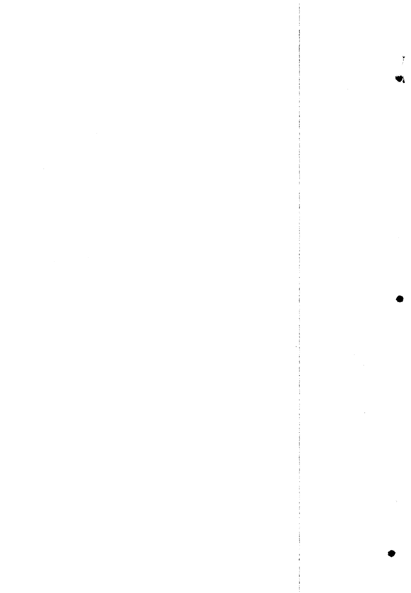$\mathbf{I}$  $\pm$ Ť.  $\pm$  $\mathbf{I}$  $\mathbf{f}$ ÷.  $\frac{1}{4}$  $\mathcal{L}^{\text{max}}_{\text{max}}$  , where  $\mathcal{L}^{\text{max}}_{\text{max}}$  $\frac{1}{2}$  .  $\frac{1}{4}$  $\tilde{\gamma}$  $\frac{1}{2}$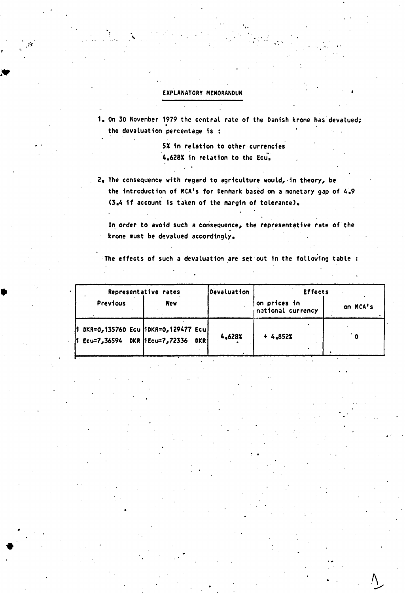#### EXPLANATORY MEMORANDUM

 $\sum_{i=1}^{n} \frac{1}{i}$ 

•

••

•

•

..

1. On 30 November 1979 the central rate of the Danish krone has devalued;<br>the devaluation percentage is :

<sup>~</sup>..

 $\mathbf{r}$  .

'··

SX in relation.to other·currencies 4.628X in relation to the Ecu:

2. The consequence with regard to agriculture would,·in *theory,* be the introduction of MCA's for Denmark based on a monetary gap of 4.9 (3.4 if account is taken of the margin of tolerance>.

In order to avoid such a consequence, the representative rate of the krone must be devalued accordingly.

The effects of such a devaluation are set out in the following table :

|                                                       | Representative rates     | <b>Devaluation</b> | Effects                           |             |
|-------------------------------------------------------|--------------------------|--------------------|-----------------------------------|-------------|
| Previous                                              | <b>New</b>               |                    | on prices in<br>national currency | on MCA's    |
| 1 DKR=0,135760 Ecu 1DKR=0,129477 Ecu<br>1 Ecu=7,36594 | OKR 1Ecu=7,72336<br>DKRI | 4.628%             | $+ 4.852x$                        | $\mathbf o$ |

. . . .<br>. . . .

·~

..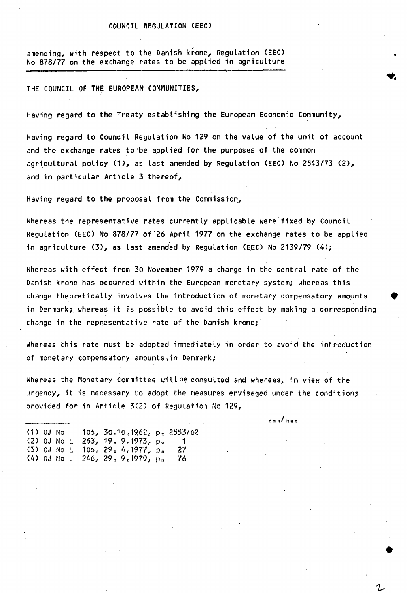amending, with respect to the Danish krone, Regulation (EEC) No *878177* on the exchange rates to be applied in agriculture

THE COUNCIL OF THE EUROPEAN COMMUNITIES,

Having regard to the Treaty establishing the European Economic Community,

Having regard to Council Regulation No 129 on the value of the unit of account and the exchange rates to·be applied for the purposes of the common agricultural policy (1), as last amended by Regulation (EEC) No 2543/73 (2), and in particular Article 3 thereof,

Having regard to the proposal from the Commission,

Whereas the representative rates currently applicable were fixed by Council Regulation (EEC) No 878/77 of'26 April 1977 on the exchange rates to be applied in agriculture  $(3)$ , as last amended by Regulation (EEC) No 2139/79  $(4)$ ;

Whereas with effect from 30 November 1979 a change in the central rate of the Danish krone has occurred within the European monetary system; whereas this change theoretically involves the introduction of monetary compensatory amounts • in Denmark; whereas it is possible to avoid this effect by making a corresponding change in the representative rate of the Danish krone;

Whereas this rate must be adopted immediately in order to avoid the introduction of monetary compensatory amounts, in Denmark;

Whereas the Monetary Committee willbe consulted and whereas, in view of the urgency, it is necessary to adopt the measures envisaged under the conditions provided for in Article  $3(2)$  of Regulation No 129,

--"'--~ I!" !l/ !<II"

 $\bigstar_{\!\scriptscriptstyle i}$ 

•

| $(1)$ $0J$ $No$ |  |  |                                         |  | $106$ , $30n10n1962$ , p. 2553/62 |
|-----------------|--|--|-----------------------------------------|--|-----------------------------------|
|                 |  |  | (2) OJ No L $263$ , 19, 9, 1973, p.     |  |                                   |
|                 |  |  | (3) OJ No L $106e$ 29. 4.1977, p.       |  | -27                               |
|                 |  |  | (4) OJ No L $246$ , $29a9c1979$ , $p_0$ |  | 76                                |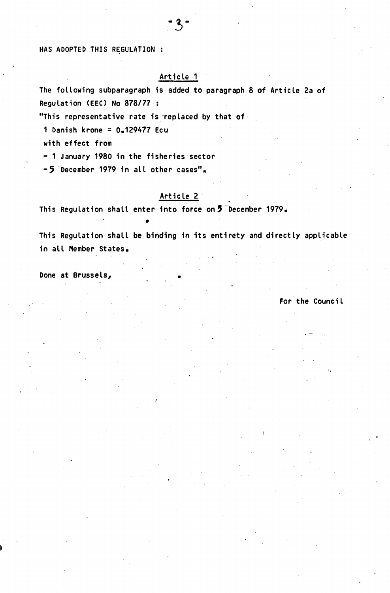#### HAS ADOPTED THIS REGULATION :

### Article 1

The following subparagraph is added to paragraph 8 of Article 2a of Regulation CEEC) No 878/77

"This representative rate is replaced by that of

1 Danish krone =  $0.129477$  Ecu

with effect from

- 1 January 1980 in the fisheries sector

-5 December 1979 in all other cases".

## Article 2

This Regulation shall enter into force on  $5$  December 1979.

•

This Regulation shall be binding in its entirety and directly applicable in all Member States.

Done at Brussels,

For.the Council